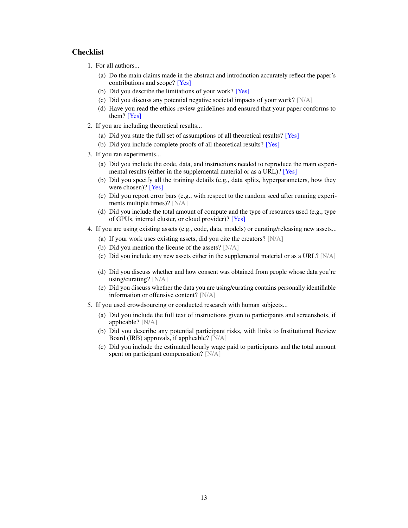# Checklist

- 1. For all authors...
	- (a) Do the main claims made in the abstract and introduction accurately reflect the paper's contributions and scope? [Yes]
	- (b) Did you describe the limitations of your work? [Yes]
	- (c) Did you discuss any potential negative societal impacts of your work? [N/A]
	- (d) Have you read the ethics review guidelines and ensured that your paper conforms to them? [Yes]
- 2. If you are including theoretical results...
	- (a) Did you state the full set of assumptions of all theoretical results? [Yes]
	- (b) Did you include complete proofs of all theoretical results? [Yes]
- 3. If you ran experiments...
	- (a) Did you include the code, data, and instructions needed to reproduce the main experimental results (either in the supplemental material or as a URL)? [Yes]
	- (b) Did you specify all the training details (e.g., data splits, hyperparameters, how they were chosen)? [Yes]
	- (c) Did you report error bars (e.g., with respect to the random seed after running experiments multiple times)? [N/A]
	- (d) Did you include the total amount of compute and the type of resources used (e.g., type of GPUs, internal cluster, or cloud provider)? [Yes]
- 4. If you are using existing assets (e.g., code, data, models) or curating/releasing new assets...
	- (a) If your work uses existing assets, did you cite the creators? [N/A]
	- (b) Did you mention the license of the assets? [N/A]
	- (c) Did you include any new assets either in the supplemental material or as a URL? [N/A]
	- (d) Did you discuss whether and how consent was obtained from people whose data you're using/curating? [N/A]
	- (e) Did you discuss whether the data you are using/curating contains personally identifiable information or offensive content? [N/A]
- 5. If you used crowdsourcing or conducted research with human subjects...
	- (a) Did you include the full text of instructions given to participants and screenshots, if applicable? [N/A]
	- (b) Did you describe any potential participant risks, with links to Institutional Review Board (IRB) approvals, if applicable? [N/A]
	- (c) Did you include the estimated hourly wage paid to participants and the total amount spent on participant compensation? [N/A]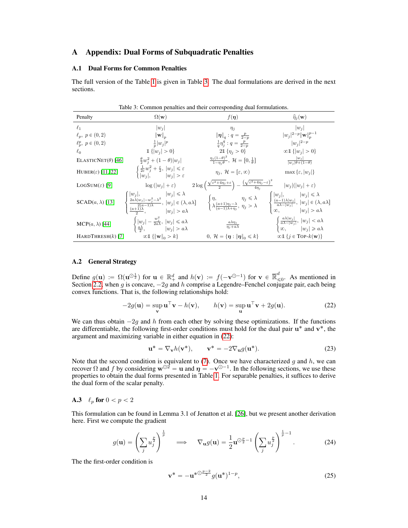# A Appendix: Dual Forms of Subquadratic Penalties

#### A.1 Dual Forms for Common Penalties

The full version of the Table [1](#page--1-0) is given in Table [3.](#page-1-0) The dual formulations are derived in the next sections.

<span id="page-1-0"></span>

| Table 3: Common penalties and their corresponding dual formulations. |                                                                                                                                                                                                                                                                                                                                                                                                                                                                                                           |                                                                                                                                                                                                                               |                                                              |  |  |  |  |  |
|----------------------------------------------------------------------|-----------------------------------------------------------------------------------------------------------------------------------------------------------------------------------------------------------------------------------------------------------------------------------------------------------------------------------------------------------------------------------------------------------------------------------------------------------------------------------------------------------|-------------------------------------------------------------------------------------------------------------------------------------------------------------------------------------------------------------------------------|--------------------------------------------------------------|--|--|--|--|--|
| Penalty                                                              | $\Omega(\mathbf{w})$                                                                                                                                                                                                                                                                                                                                                                                                                                                                                      | $f(\eta)$                                                                                                                                                                                                                     | $\hat{\eta}_i(\mathbf{w})$                                   |  |  |  |  |  |
| $\ell_1$                                                             | $ w_i $                                                                                                                                                                                                                                                                                                                                                                                                                                                                                                   | $\eta_i$                                                                                                                                                                                                                      | $ w_i $                                                      |  |  |  |  |  |
| $\ell_p, p \in (0,2)$                                                | $\ \mathbf{w}\ _p$                                                                                                                                                                                                                                                                                                                                                                                                                                                                                        | $\ \eta\ _q: q=\frac{p}{2-n}$                                                                                                                                                                                                 | $ w_j ^{2-p} \ \mathbf{w}\ _p^{p-1}$                         |  |  |  |  |  |
| $\ell_p^p, p \in (0, 2)$                                             | $\frac{1}{p} w_j ^p$                                                                                                                                                                                                                                                                                                                                                                                                                                                                                      | $\frac{1}{a}\eta_i^q:q=\frac{p}{2-n}$                                                                                                                                                                                         | $ w_i ^{2-p}$                                                |  |  |  |  |  |
| $\ell_0$                                                             | $\mathbb{1}\{ w_i  > 0\}$                                                                                                                                                                                                                                                                                                                                                                                                                                                                                 | $21\{\eta_i > 0\}$                                                                                                                                                                                                            | $\infty \mathbb{1} \left\{  w_i  > 0 \right\}$               |  |  |  |  |  |
| ELASTICNET( $\theta$ ) [46]                                          | $\frac{\theta}{2}w_i^2 + (1-\theta) w_i $                                                                                                                                                                                                                                                                                                                                                                                                                                                                 | $\frac{\eta_j(1-\theta)^2}{1-n.\theta}$ , $\mathcal{H} = [0, \frac{1}{\theta}]$                                                                                                                                               | $\frac{ w_j }{ w_i \theta+(1-\theta)}$                       |  |  |  |  |  |
| $HUBER(\varepsilon)$ [11, 22]                                        | $\begin{cases} \frac{1}{2\varepsilon}w_j^2 + \frac{\varepsilon}{2},  w_j  \leq \varepsilon\\  w_j ,  w_j  > \varepsilon \end{cases}$                                                                                                                                                                                                                                                                                                                                                                      | $\eta_i, \mathcal{H} = [\varepsilon, \infty)$                                                                                                                                                                                 | $\max{\varepsilon,  w_i }$                                   |  |  |  |  |  |
| $LogSum(\varepsilon)$ [9]                                            |                                                                                                                                                                                                                                                                                                                                                                                                                                                                                                           | $\log\left( w_j +\varepsilon\right) \qquad 2\log\left(\frac{\sqrt{\varepsilon^2+4\eta_j}+\varepsilon}{2}\right)-\frac{\left(\sqrt{\varepsilon^2+4\eta_j}-\varepsilon\right)^2}{4n\varepsilon}\qquad  w_j ( w_j +\varepsilon)$ |                                                              |  |  |  |  |  |
|                                                                      | $\text{SCAD}(a,\lambda) \begin{bmatrix} 13 \end{bmatrix} \qquad \begin{cases} \begin{aligned} & w_j , & w_j  \leq \lambda \\ &\frac{2a\lambda w_j  - w_j^2 - \lambda^2}{2(a-1)\lambda}, & w_j  \in (\lambda,a\lambda] \\ &\frac{2(2a-1)\lambda}{2}, & w_j  > a\lambda \end{aligned} \end{cases} \qquad \begin{cases} \eta, &\eta_j \leq \lambda \\ \lambda \frac{(a+1)\eta_j - \lambda}{(a-1)\lambda + \eta_j}, &\eta_j > \lambda \end{cases} \qquad \begin{cases} \begin{aligned} & w_j , & w_j  \leq \$ |                                                                                                                                                                                                                               |                                                              |  |  |  |  |  |
| $MCP(a, \lambda)$ [44]                                               | $\begin{cases}  w_j  - \frac{w_j^2}{2a\lambda},  w_j  \leq a\lambda\\ \frac{a\lambda}{2}, &  w_j  > a\lambda \end{cases}$                                                                                                                                                                                                                                                                                                                                                                                 | $\frac{a\lambda\eta_j}{\eta_i+a\lambda}$                                                                                                                                                                                      | $\begin{cases} \frac{a\lambda w_j }{a\lambda- w_j },\  w_j $ |  |  |  |  |  |
| HARDTHRESH $(k)$ [7]                                                 |                                                                                                                                                                                                                                                                                                                                                                                                                                                                                                           | $\infty \mathbb{1} \{   \mathbf{w}  _0 > k \}$ $0, \mathcal{H} = {\{\pmb{\eta}:   \pmb{\eta}  _0 \leq k \}}$                                                                                                                  | $\infty \mathbb{1} \{ j \in \text{Top-}k(\mathbf{w}) \}$     |  |  |  |  |  |

### A.2 General Strategy

Define  $g(\mathbf{u}) := \Omega(\mathbf{u}^{\odot \frac{1}{2}})$  for  $\mathbf{u} \in \mathbb{R}_+^d$  and  $h(\mathbf{v}) := f(-\mathbf{v}^{\odot -1})$  for  $\mathbf{v} \in \overline{\mathbb{R}}_{\leq}^d$  $\int_{0}^{\infty}$ . As mentioned in Section [2.2,](#page--1-8) when g is concave,  $-2g$  and h comprise a Legendre–Fenchel conjugate pair, each being convex functions. That is, the following relationships hold:

$$
-2g(\mathbf{u}) = \sup_{\mathbf{v}} \mathbf{u}^{\top} \mathbf{v} - h(\mathbf{v}), \qquad h(\mathbf{v}) = \sup_{\mathbf{u}} \mathbf{u}^{\top} \mathbf{v} + 2g(\mathbf{u}). \tag{22}
$$

We can thus obtain  $-2g$  and h from each other by solving these optimizations. If the functions are differentiable, the following first-order conditions must hold for the dual pair  $u^*$  and  $v^*$ , the argument and maximizing variable in either equation in [\(22\)](#page-1-1):

<span id="page-1-1"></span>
$$
\mathbf{u}^* = \nabla_{\mathbf{v}} h(\mathbf{v}^*), \qquad \mathbf{v}^* = -2\nabla_{\mathbf{u}} g(\mathbf{u}^*).
$$
 (23)

Note that the second condition is equivalent to  $(7)$ . Once we have characterized g and h, we can recover  $\Omega$  and f by considering  $w^{\odot 2} = u$  and  $\eta = -v^{\odot -1}$ . In the following sections, we use these properties to obtain the dual forms presented in Table [1.](#page--1-0) For separable penalties, it suffices to derive the dual form of the scalar penalty.

# **A.3**  $\ell_p$  for  $0 < p < 2$

This formulation can be found in Lemma 3.1 of Jenatton et al. [\[26\]](#page--1-10), but we present another derivation here. First we compute the gradient

$$
g(\mathbf{u}) = \left(\sum_{j} u_j^{\frac{p}{2}}\right)^{\frac{1}{p}} \implies \nabla_{\mathbf{u}} g(\mathbf{u}) = \frac{1}{2} \mathbf{u}^{\odot \frac{p}{2} - 1} \left(\sum_{j} u_j^{\frac{p}{2}}\right)^{\frac{1}{p} - 1}.
$$
 (24)

The the first-order condition is

<span id="page-1-2"></span>
$$
\mathbf{v}^* = -\mathbf{u}^{*0^{\frac{p-2}{2}}} g(\mathbf{u}^*)^{1-p},\tag{25}
$$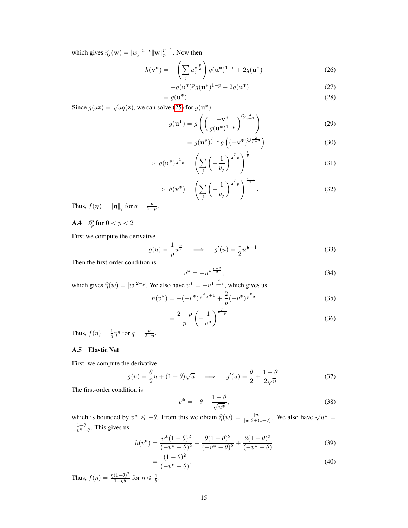which gives  $\hat{\eta}_j(\mathbf{w}) = |w_j|^{2-p} \|\mathbf{w}\|_p^{p-1}$ . Now then<br> $h(\mathbf{v}^*) = -\left(\sum_i u_i^* \right)^{\frac{p}{2}}$ 

$$
h(\mathbf{v}^*) = -\left(\sum_j u_j^* \right)^{\frac{p}{2}} g(\mathbf{u}^*)^{1-p} + 2g(\mathbf{u}^*)
$$
\n(26)

$$
= -g(\mathbf{u}^*)^p g(\mathbf{u}^*)^{1-p} + 2g(\mathbf{u}^*)
$$
  
=  $g(\mathbf{u}^*).$  (27)

Since  $g(a\mathbf{z}) = \sqrt{a}g(\mathbf{z})$ , we can solve [\(25\)](#page-1-2) for  $g(\mathbf{u}^*)$ :

$$
g(\mathbf{u}^*) = g\left(\left(\frac{-\mathbf{v}^*}{g(\mathbf{u}^*)^{1-p}}\right)^{\bigcirc \frac{2}{p-2}}\right)
$$
(29)

$$
= g(\mathbf{u}^*)^{\frac{p-1}{p-2}} g\left((-\mathbf{v}^*)^{\odot \frac{2}{p-2}}\right)
$$
(30)

$$
\implies g(\mathbf{u}^*)^{\frac{1}{2-p}} = \left(\sum_j \left(-\frac{1}{v_j}\right)^{\frac{p}{2-p}}\right)^{\frac{1}{p}} \tag{31}
$$

$$
\implies h(\mathbf{v}^*) = \left(\sum_j \left(-\frac{1}{v_j}\right)^{\frac{p}{2-p}}\right)^{\frac{2-p}{p}}.\tag{32}
$$

Thus,  $f(\boldsymbol{\eta}) = \|\boldsymbol{\eta}\|_q$  for  $q = \frac{p}{2-p}$ .

**A.4**  $\ell_p^p$  for  $0 < p < 2$ 

First we compute the derivative

$$
g(u) = \frac{1}{p}u^{\frac{p}{2}} \implies g'(u) = \frac{1}{2}u^{\frac{p}{2}-1}.
$$
 (33)

Then the first-order condition is

$$
v^* = -u^{*\frac{p-2}{2}},\tag{34}
$$

which gives  $\hat{\eta}(w) = |w|^{2-p}$ . We also have  $u^* = -v^{* \frac{2}{p-2}}$ , which gives us

$$
h(v^*) = -(-v^*)^{\frac{2}{p-2}+1} + \frac{2}{p}(-v^*)^{\frac{p}{p-2}}
$$
\n(35)

$$
=\frac{2-p}{p}\left(-\frac{1}{v^*}\right)^{\frac{p}{2-p}}.\tag{36}
$$

Thus,  $f(\eta) = \frac{1}{q} \eta^q$  for  $q = \frac{p}{2-p}$ .

## A.5 Elastic Net

First, we compute the derivative

$$
g(u) = \frac{\theta}{2}u + (1 - \theta)\sqrt{u} \quad \implies \quad g'(u) = \frac{\theta}{2} + \frac{1 - \theta}{2\sqrt{u}}.
$$
 (37)

The first-order condition is

$$
v^* = -\theta - \frac{1-\theta}{\sqrt{u^*}},\tag{38}
$$

which is bounded by  $v^* \leq -\theta$ . From this we obtain  $\hat{\eta}(w) = \frac{|w|}{|w|\theta + (1-\theta)}$ . We also have  $\sqrt{u^*} =$  $\frac{1-\theta}{-v^*-\theta}$ . This gives us

$$
h(v^*) = \frac{v^*(1-\theta)^2}{(-v^*-\theta)^2} + \frac{\theta(1-\theta)^2}{(-v^*-\theta)^2} + \frac{2(1-\theta)^2}{(-v^*-\theta)}
$$
(39)

$$
\frac{(1-\theta)^2}{(-v^*-\theta)}.\tag{40}
$$

Thus,  $f(\eta) = \frac{\eta(1-\theta)^2}{1-\eta\theta}$  for  $\eta \le \frac{1}{\theta}$ .

 $=$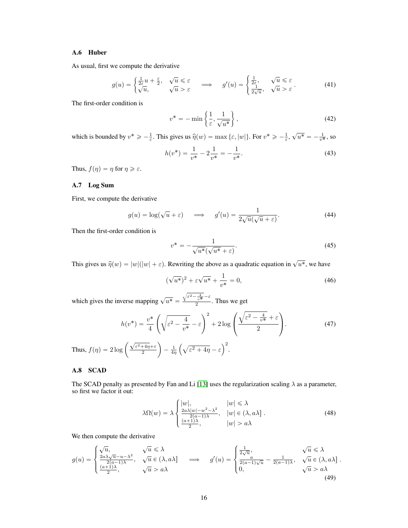#### A.6 Huber

As usual, first we compute the derivative

$$
g(u) = \begin{cases} \frac{1}{2\varepsilon}u + \frac{\varepsilon}{2}, & \sqrt{u} \leq \varepsilon \\ \sqrt{u}, & \sqrt{u} > \varepsilon \end{cases} \implies g'(u) = \begin{cases} \frac{1}{2\varepsilon}, & \sqrt{u} \leq \varepsilon \\ \frac{1}{2\sqrt{u}}, & \sqrt{u} > \varepsilon \end{cases} (41)
$$

The first-order condition is

$$
v^* = -\min\left\{\frac{1}{\varepsilon}, \frac{1}{\sqrt{u^*}}\right\},\tag{42}
$$

which is bounded by  $v^* \geq -\frac{1}{\varepsilon}$ . This gives us  $\hat{\eta}(w) = \max\{\varepsilon, |w|\}$ . For  $v^* \geq -\frac{1}{\varepsilon}$ ,  $\sqrt{u^*} = -\frac{1}{v^*}$ , so

$$
h(v^*) = \frac{1}{v^*} - 2\frac{1}{v^*} = -\frac{1}{v^*}.
$$
\n(43)

Thus,  $f(\eta) = \eta$  for  $\eta \geq \varepsilon$ .

## A.7 Log Sum

First, we compute the derivative

$$
g(u) = \log(\sqrt{u} + \varepsilon) \quad \implies \quad g'(u) = \frac{1}{2\sqrt{u}(\sqrt{u} + \varepsilon)}.\tag{44}
$$

Then the first-order condition is

$$
v^* = -\frac{1}{\sqrt{u^*(\sqrt{u^*} + \varepsilon)}}.\tag{45}
$$

This gives us  $\hat{\eta}(w) = |w|(|w| + \varepsilon)$ . Rewriting the above as a quadratic equation in  $\sqrt{u^*}$ , we have

$$
(\sqrt{u^*})^2 + \varepsilon \sqrt{u^*} + \frac{1}{v^*} = 0,
$$
\n<sup>(46)</sup>

which gives the inverse mapping  $\sqrt{u^*} =$  $\varepsilon^2 - \frac{4}{v^*} - \varepsilon$  $\frac{v^*}{2}$ . Thus we get

$$
h(v^*) = \frac{v^*}{4} \left( \sqrt{\varepsilon^2 - \frac{4}{v^*}} - \varepsilon \right)^2 + 2 \log \left( \frac{\sqrt{\varepsilon^2 - \frac{4}{v^*}} + \varepsilon}{2} \right).
$$
 (47)

Thus,  $f(\eta) = 2 \log \left( \frac{\sqrt{\varepsilon^2 + 4\eta} + \varepsilon}{2} \right)$ 2  $-\frac{1}{4\eta}$  $\varepsilon^2 + 4\eta - \varepsilon$  $\sqrt{2}$ .

# A.8 SCAD

The SCAD penalty as presented by Fan and Li [\[13\]](#page--1-5) uses the regularization scaling  $\lambda$  as a parameter, so first we factor it out:

$$
\lambda \Omega(w) = \lambda \begin{cases} |w|, & |w| \le \lambda \\ \frac{2a\lambda|w| - w^2 - \lambda^2}{2(a-1)\lambda}, & |w| \in (\lambda, a\lambda] \\ \frac{(a+1)\lambda}{2}, & |w| > a\lambda \end{cases}
$$
 (48)

We then compute the derivative

$$
g(u) = \begin{cases} \sqrt{u}, & \sqrt{u} \le \lambda \\ \frac{2a\lambda\sqrt{u} - u - \lambda^2}{2(a-1)\lambda}, & \sqrt{u} \in (\lambda, a\lambda] \\ \frac{(a+1)\lambda}{2}, & \sqrt{u} > a\lambda \end{cases} \implies g'(u) = \begin{cases} \frac{1}{2\sqrt{u}}, & \sqrt{u} \le \lambda \\ \frac{a}{2(a-1)\sqrt{u}} - \frac{1}{2(a-1)\lambda}, & \sqrt{u} \in (\lambda, a\lambda] \\ 0, & \sqrt{u} > a\lambda \end{cases}.
$$
\n(49)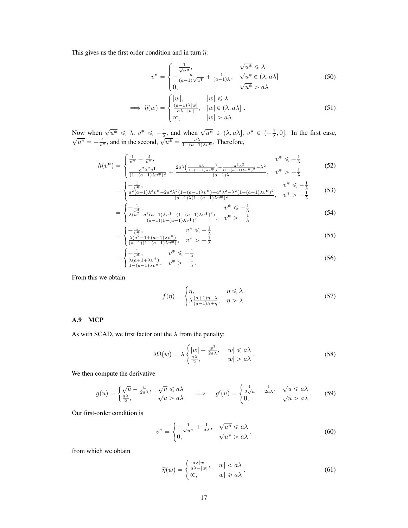This gives us the first order condition and in turn  $\hat{\eta}$ :

$$
v^* = \begin{cases} -\frac{1}{\sqrt{u^*}}, & \sqrt{u^*} \le \lambda\\ -\frac{a}{(a-1)\sqrt{u^*}} + \frac{1}{(a-1)\lambda}, & \sqrt{u^*} \in (\lambda, a\lambda] \\ 0, & \sqrt{u^*} > a\lambda \end{cases}
$$
(50)

$$
\implies \widehat{\eta}(w) = \begin{cases} |w|, & |w| \le \lambda \\ \frac{(a-1)\lambda|w|}{a\lambda - |w|}, & |w| \in (\lambda, a\lambda] \\ \infty, & |w| > a\lambda \end{cases}
$$
 (51)

Now when  $\sqrt{u^*} \le \lambda$ ,  $v^* \le -\frac{1}{\lambda}$ , and when  $\sqrt{u^*} \in (\lambda, a\lambda]$ ,  $v^* \in (-\frac{1}{\lambda}, 0]$ . In the first case,  $\sqrt{u^*} = -\frac{1}{v^*}$ , and in the second,  $\sqrt{u^*} = \frac{a\lambda}{1 - (a-1)\lambda v^*}$ . Therefore,

$$
h(v^*) = \begin{cases} \frac{1}{v^*} - \frac{2}{v^*}, & v^* \le -\frac{1}{\lambda} \\ \frac{a^2 \lambda^2 v^*}{(1 - (a - 1)\lambda v^*)^2} + \frac{2a\lambda \left(\frac{a\lambda}{1 - (a - 1)\lambda v^*}\right) - \frac{a^2 \lambda^2}{(1 - (a - 1)\lambda v^*)^2} - \lambda^2}{(a - 1)\lambda}, & v^* > -\frac{1}{\lambda} \end{cases}
$$
(52)

$$
= \begin{cases} \frac{1}{v^*}, & v^* \leq -\frac{1}{\lambda} \\ \frac{a^2(a-1)\lambda^3 v^* + 2a^2 \lambda^2 (1 - (a-1)\lambda v^*) - a^2 \lambda^2 - \lambda^2 (1 - (a-1)\lambda v^*)^2}{(a-1)\lambda (1 - (a-1)\lambda v^*)^2}, & v^* > -\frac{1}{\lambda} \end{cases}
$$
(53)

$$
= \begin{cases} -\frac{1}{v^*}, & v^* \le -\frac{1}{\lambda} \\ \frac{\lambda(a^2 - a^2(a-1)\lambda v^* - (1 - (a-1)\lambda v^*)^2)}{(a-1)(1 - (a-1)\lambda v^*)^2}, & v^* > -\frac{1}{\lambda} \end{cases}
$$
(54)

$$
= \begin{cases} -\frac{1}{v^*}, & v^* \leq -\frac{1}{\lambda} \\ \frac{\lambda(a^2 - 1 + (a-1)\lambda v^*)}{(a-1)(1 - (a-1)\lambda v^*)}, & v^* > -\frac{1}{\lambda} \end{cases}
$$
(55)

$$
= \begin{cases} -\frac{1}{v^*}, & v^* \leq -\frac{1}{\lambda} \\ \frac{\lambda(a+1+\lambda v^*)}{1-(a-1)\lambda v^*}, & v^* > -\frac{1}{\lambda}. \end{cases}
$$
(56)

From this we obtain

$$
f(\eta) = \begin{cases} \eta, & \eta \le \lambda \\ \lambda \frac{(a+1)\eta - \lambda}{(a-1)\lambda + \eta}, & \eta > \lambda. \end{cases}
$$
 (57)

#### A.9 MCP

As with SCAD, we first factor out the  $\lambda$  from the penalty:

$$
\lambda \Omega(w) = \lambda \begin{cases} |w| - \frac{w^2}{2a\lambda}, & |w| \le a\lambda \\ \frac{a\lambda}{2}, & |w| > a\lambda \end{cases} \tag{58}
$$

We then compute the derivative

$$
g(u) = \begin{cases} \sqrt{u} - \frac{u}{2a\lambda}, & \sqrt{u} \leq a\lambda \\ \frac{a\lambda}{2}, & \sqrt{u} > a\lambda \end{cases} \implies g'(u) = \begin{cases} \frac{1}{2\sqrt{u}} - \frac{1}{2a\lambda}, & \sqrt{u} \leq a\lambda \\ 0, & \sqrt{u} > a\lambda \end{cases} (59)
$$

Our first-order condition is

$$
v^* = \begin{cases} -\frac{1}{\sqrt{u^*}} + \frac{1}{a\lambda}, & \sqrt{u^*} \leq a\lambda \\ 0, & \sqrt{u^*} > a\lambda \end{cases}
$$
 (60)

from which we obtain

$$
\widehat{\eta}(w) = \begin{cases} \frac{a\lambda|w|}{a\lambda - |w|}, & |w| < a\lambda \\ \infty, & |w| \ge a\lambda \end{cases} \tag{61}
$$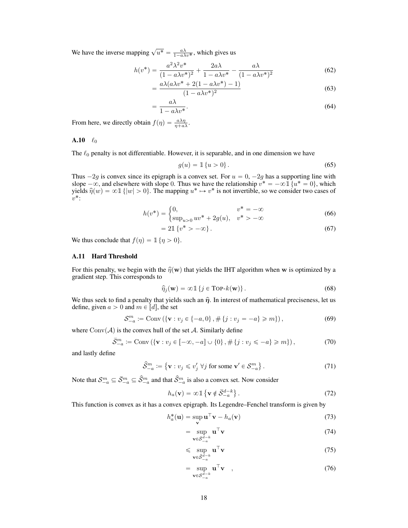We have the inverse mapping  $\sqrt{u^*} = \frac{a\lambda}{1 - a\lambda v^*}$ , which gives us

 $=$ 

$$
h(v^*) = \frac{a^2\lambda^2v^*}{(1-a\lambda v^*)^2} + \frac{2a\lambda}{1-a\lambda v^*} - \frac{a\lambda}{(1-a\lambda v^*)^2}
$$
(62)

$$
=\frac{a\lambda(a\lambda v^* + 2(1 - a\lambda v^*) - 1)}{(1 - a\lambda v^*)^2}
$$
\n(63)

$$
\frac{a\lambda}{1 - a\lambda v^*}.\tag{64}
$$

From here, we directly obtain  $f(\eta) = \frac{a\lambda\eta}{\eta + a\lambda}$ .

## **A.10**  $\ell_0$

The  $\ell_0$  penalty is not differentiable. However, it is separable, and in one dimension we have

$$
g(u) = 1\{u > 0\}.
$$
 (65)

Thus  $-2g$  is convex since its epigraph is a convex set. For  $u = 0, -2g$  has a supporting line with slope  $-\infty$ , and elsewhere with slope 0. Thus we have the relationship  $v^* = -\infty \mathbb{1} \{u^* = 0\}$ , which yields  $\hat{\eta}(w) = \infty \mathbb{1} \{ |w| > 0 \}$ . The mapping  $u^* \mapsto v^*$  is not invertible, so we consider two cases of  $v^*$ :

$$
h(v^*) = \begin{cases} 0, & v^* = -\infty \\ \sup_{u>0} uv^* + 2g(u), & v^* > -\infty \end{cases}
$$
 (66)

$$
=21\left\{v^* > -\infty\right\}.\tag{67}
$$

We thus conclude that  $f(\eta) = \mathbb{1} \{ \eta > 0 \}.$ 

### A.11 Hard Threshold

For this penalty, we begin with the  $\hat{\eta}(\mathbf{w})$  that yields the IHT algorithm when w is optimized by a gradient step. This corresponds to

$$
\widehat{\eta}_j(\mathbf{w}) = \infty \mathbb{1} \{ j \in \text{Top-}k(\mathbf{w}) \}.
$$
\n(68)

We thus seek to find a penalty that yields such an  $\hat{\eta}$ . In interest of mathematical preciseness, let us define, given  $a > 0$  and  $m \in [d]$ , the set

$$
\mathcal{S}_{-a}^{m} := \text{Conv}\left(\{\mathbf{v}: v_{j} \in \{-a, 0\}, \#\{j: v_{j} = -a\} \geq m\}\right),\tag{69}
$$

where  $Conv(\mathcal{A})$  is the convex hull of the set  $\mathcal{A}$ . Similarly define

$$
\bar{\mathcal{S}}_{-a}^{m} := \text{Conv}\left(\{\mathbf{v}: v_{j} \in [-\infty, -a] \cup \{0\}, \#\{j: v_{j} \leq -a\} \geq m\}\right),\tag{70}
$$

and lastly define

$$
\widehat{\mathcal{S}}_{-a}^{m} := \{ \mathbf{v} : v_j \leqslant v_j' \; \forall j \text{ for some } \mathbf{v}' \in \mathcal{S}_{-a}^{m} \} \,.
$$

Note that  $S_{-a}^m \subseteq \bar{S}_{-a}^m \subseteq \hat{S}_{-a}^m$  and that  $\hat{S}_{-a}^m$  is also a convex set. Now consider  $\mathbf{r}$  (and  $\mathbf{r}$ )  $\mathbf{r}$ 

$$
h_a(\mathbf{v}) = \infty \mathbb{1} \left\{ \mathbf{v} \notin \bar{\mathcal{S}}_{-a}^{d-k} \right\}.
$$
 (72)

This function is convex as it has a convex epigraph. Its Legendre–Fenchel transform is given by

$$
h_a^*(\mathbf{u}) = \sup_{\mathbf{v}} \mathbf{u}^\top \mathbf{v} - h_a(\mathbf{v})
$$
\n(73)

$$
= \sup_{\mathbf{v} \in \bar{\mathcal{S}}_{-a}^{d-k}} \mathbf{u}^{\top} \mathbf{v}
$$
 (74)

$$
\leqslant \sup_{\mathbf{v}\in\hat{S}_{-a}^{d-k}} \mathbf{u}^{\top}\mathbf{v}
$$
\n(75)

$$
= \sup_{\mathbf{v}\in S_{-a}^{d-k}} \mathbf{u}^{\top}\mathbf{v} \quad , \tag{76}
$$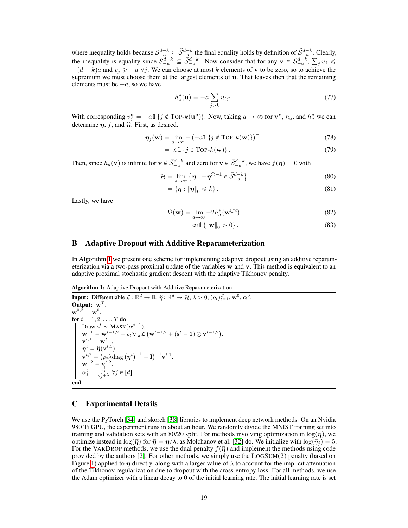where inequality holds because  $\bar{S}_{-a}^{d-k} \subseteq \hat{S}_{-a}^{d-k}$  the final equality holds by definition of  $\hat{S}_{-a}^{d-k}$ . Clearly, the inequality is equality since  $S_{-a}^{d-k} \subseteq \overline{S}_{-a}^{d-k}$ . Now consider that for any  $\mathbf{v} \in S_{-a}^{d-k}$ .  $\ddot{\phantom{0}}$  $j v_j \leq$  $-(d - k)a$  and  $v_i \ge -a \forall j$ . We can choose at most k elements of v to be zero, so to achieve the supremum we must choose them at the largest elements of u. That leaves then that the remaining elements must be  $-a$ , so we have

$$
h_a^*(\mathbf{u}) = -a \sum_{j > k} u_{(j)}.\tag{77}
$$

With corresponding  $v_j^* = -a \mathbb{1} \{ j \notin \text{Top-}k(\mathbf{u}^*) \}$ . Now, taking  $a \to \infty$  for  $\mathbf{v}^*$ ,  $h_a$ , and  $h_a^*$  we can determine  $\eta$ , f, and  $\Omega$ . First, as desired,

$$
\eta_j(\mathbf{w}) = \lim_{a \to \infty} -(-a \mathbb{1} \{ j \notin \text{Top-}k(\mathbf{w}) \})^{-1}
$$
(78)

$$
= \infty \mathbb{1} \left\{ j \in \text{Top-}k(\mathbf{w}) \right\}.
$$
 (79)

Then, since  $h_a(\mathbf{v})$  is infinite for  $\mathbf{v} \notin \overline{\mathcal{S}}_{-a}^{d-k}$  and zero for  $\mathbf{v} \in \overline{\mathcal{S}}_{-a}^{d-k}$ , we have  $f(\eta) = 0$  with

$$
\mathcal{H} = \lim_{a \to \infty} \{ \boldsymbol{\eta} : -\boldsymbol{\eta}^{\odot -1} \in \bar{\mathcal{S}}_{-a}^{d-k} \}
$$
(80)

$$
= \{\boldsymbol{\eta} : \|\boldsymbol{\eta}\|_{0} \leq k\}.
$$
\n(81)

Lastly, we have

$$
\Omega(\mathbf{w}) = \lim_{a \to \infty} -2h_a^*(\mathbf{w}^{\odot 2})
$$
\n(82)

$$
= \infty \mathbb{1} \left\{ \left\| \mathbf{w} \right\|_0 > 0 \right\}.
$$
 (83)

## B Adaptive Dropout with Additive Reparameterization

In Algorithm [1](#page-6-0) we present one scheme for implementing adaptive dropout using an additive reparameterization via a two-pass proximal update of the variables w and v. This method is equivalent to an adaptive proximal stochastic gradient descent with the adaptive Tikhonov penalty.

<span id="page-6-0"></span>Algorithm 1: Adaptive Dropout with Additive Reparameterization

```
Input: Differentiable \mathcal{L} \colon \mathbb{R}^d \to \mathbb{R}, \hat{\eta} \colon \mathbb{R}^d \to \mathcal{H}, \lambda > 0, (\rho_t)_{t=1}^T, \mathbf{w}^0, \alpha^0.
 Output: w^T.
\mathbf{w}^{0,2} = \mathbf{w}^0.for t = 1, 2, \ldots, T do
            Draw \mathbf{s}^t \sim \text{MASK}(\boldsymbol{\alpha}^{t-1}).\textbf{w}^{t,1} = \textbf{w}^{t-1,2} - \rho_t \nabla_\textbf{w} \mathcal{L}\mathbf{w}^{t-1,2} + (\mathbf{s}^t - \mathbf{1}) \odot \mathbf{v}^{t-1,2}).
           \mathbf{v}^{t,1} = \mathbf{w}^{t,1}.\boldsymbol{\eta}^{t} = \widehat{\boldsymbol{\eta}}(\mathbf{v}^{t,1}).\mathbf{v}^{t,2} =\left(\rho_t\lambda{\rm diag}\left({\boldsymbol{\eta}}^t\right)^{-1} + \mathbf{I}\right)^{-1}\mathbf{v}^{t,1}.\mathbf{w}^{t,2} = \mathbf{v}^{t,2}.
            \alpha_j^t = \frac{\eta_j^t}{\eta_j^t + \lambda} \ \forall j \in [d].end
```
### C Experimental Details

We use the PyTorch [\[34\]](#page--1-11) and skorch [\[38\]](#page--1-12) libraries to implement deep network methods. On an Nvidia 980 Ti GPU, the experiment runs in about an hour. We randomly divide the MNIST training set into training and validation sets with an 80/20 split. For methods involving optimization in  $\log(\eta)$ , we optimize instead in  $\log(\bar{\eta})$  for  $\bar{\eta} = \eta/\lambda$ , as Molchanov et al. [\[32\]](#page--1-13) do. We initialize with  $\log(\bar{\eta}_i) = 5$ . For the VARDROP methods, we use the dual penalty  $f(\bar{\eta})$  and implement the methods using code provided by the authors [\[2\]](#page--1-14). For other methods, we simply use the LOGSUM(2) penalty (based on Figure [1\)](#page--1-0) applied to  $\eta$  directly, along with a larger value of  $\lambda$  to account for the implicit attenuation of the Tikhonov regularization due to dropout with the cross-entropy loss. For all methods, we use the Adam optimizer with a linear decay to 0 of the initial learning rate. The initial learning rate is set